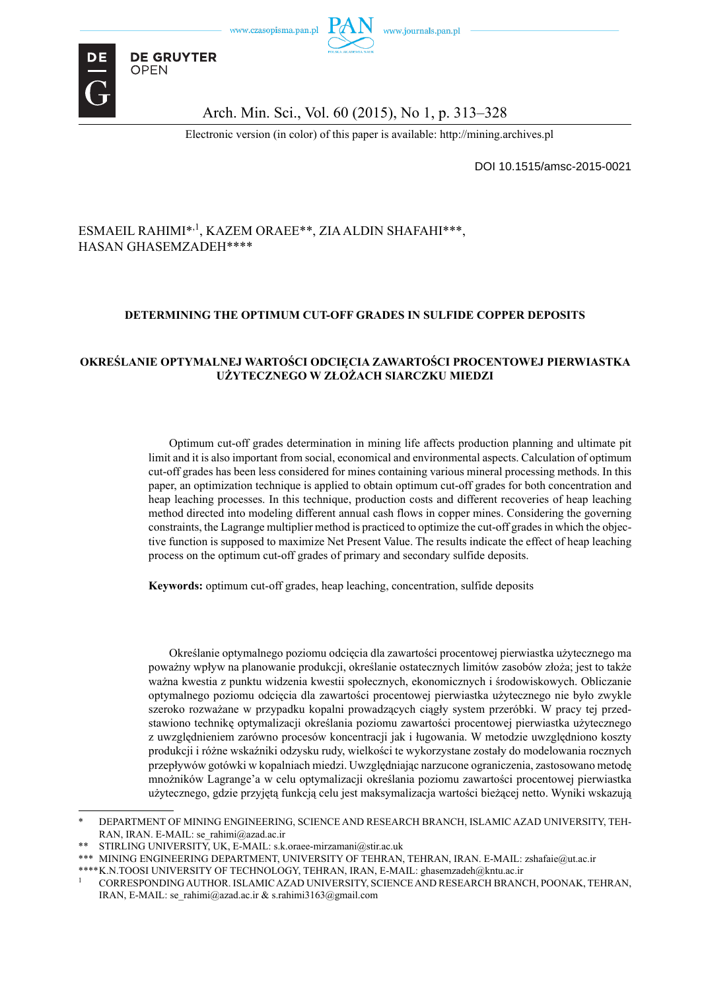

**DE GRUYTER OPEN** 

### Arch. Min. Sci., Vol. 60 (2015), No 1, p. 313–328

Electronic version (in color) of this paper is available: http://mining.archives.pl

DOI 10.1515/amsc-2015-0021

### ESMAEIL RAHIMI\*<sup>,1</sup>, KAZEM ORAEE\*\*, ZIA ALDIN SHAFAHI\*\*\*. HASAN GHASEMZADEH\*\*\*\*

#### **DETERMINING THE OPTIMUM CUT-OFF GRADES IN SULFIDE COPPER DEPOSITS**

#### **OKREŚLANIE OPTYMALNEJ WARTOŚCI ODCIĘCIA ZAWARTOŚCI PROCENTOWEJ PIERWIASTKA UŻYTECZNEGO W ZŁOŻACH SIARCZKU MIEDZI**

Optimum cut-off grades determination in mining life affects production planning and ultimate pit limit and it is also important from social, economical and environmental aspects. Calculation of optimum cut-off grades has been less considered for mines containing various mineral processing methods. In this paper, an optimization technique is applied to obtain optimum cut-off grades for both concentration and heap leaching processes. In this technique, production costs and different recoveries of heap leaching method directed into modeling different annual cash flows in copper mines. Considering the governing constraints, the Lagrange multiplier method is practiced to optimize the cut-off grades in which the objective function is supposed to maximize Net Present Value. The results indicate the effect of heap leaching process on the optimum cut-off grades of primary and secondary sulfide deposits.

**Keywords:** optimum cut-off grades, heap leaching, concentration, sulfide deposits

Określanie optymalnego poziomu odcięcia dla zawartości procentowej pierwiastka użytecznego ma poważny wpływ na planowanie produkcji, określanie ostatecznych limitów zasobów złoża; jest to także ważna kwestia z punktu widzenia kwestii społecznych, ekonomicznych i środowiskowych. Obliczanie optymalnego poziomu odcięcia dla zawartości procentowej pierwiastka użytecznego nie było zwykle szeroko rozważane w przypadku kopalni prowadzących ciągły system przeróbki. W pracy tej przedstawiono technikę optymalizacji określania poziomu zawartości procentowej pierwiastka użytecznego z uwzględnieniem zarówno procesów koncentracji jak i ługowania. W metodzie uwzględniono koszty produkcji i różne wskaźniki odzysku rudy, wielkości te wykorzystane zostały do modelowania rocznych przepływów gotówki w kopalniach miedzi. Uwzględniając narzucone ograniczenia, zastosowano metodę mnożników Lagrange'a w celu optymalizacji określania poziomu zawartości procentowej pierwiastka użytecznego, gdzie przyjętą funkcją celu jest maksymalizacja wartości bieżącej netto. Wyniki wskazują

<sup>\*</sup> DEPARTMENT OF MINING ENGINEERING, SCIENCE AND RESEARCH BRANCH, ISLAMIC AZAD UNIVERSITY, TEH-RAN, IRAN. E-MAIL: se\_rahimi@azad.ac.ir

<sup>\*\*</sup> STIRLING UNIVERSITY, UK, E-MAIL: s.k.oraee-mirzamani@stir.ac.uk

<sup>\*\*\*</sup> MINING ENGINEERING DEPARTMENT, UNIVERSITY OF TEHRAN, TEHRAN, IRAN. E-MAIL: zshafaie@ut.ac.ir

<sup>\*\*\*\*</sup> K.N.TOOSI UNIVERSITY OF TECHNOLOGY, TEHRAN, IRAN, E-MAIL: ghasemzadeh@kntu.ac.ir

<sup>1</sup> CORRESPONDING AUTHOR. ISLAMIC AZAD UNIVERSITY, SCIENCE AND RESEARCH BRANCH, POONAK, TEHRAN, IRAN, E-MAIL: se\_rahimi@azad.ac.ir & s.rahimi3163@gmail.com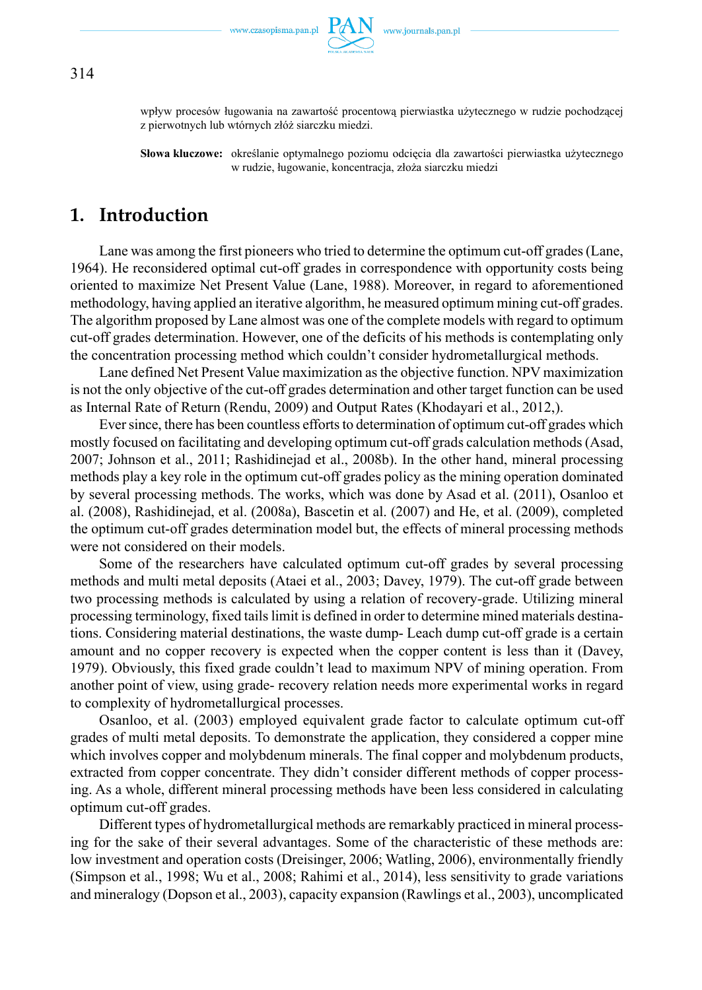

wpływ procesów ługowania na zawartość procentową pierwiastka użytecznego w rudzie pochodzącej z pierwotnych lub wtórnych złóż siarczku miedzi.

**Słowa kluczowe:** określanie optymalnego poziomu odcięcia dla zawartości pierwiastka użytecznego w rudzie, ługowanie, koncentracja, złoża siarczku miedzi

## **1. Introduction**

Lane was among the first pioneers who tried to determine the optimum cut-off grades (Lane, 1964). He reconsidered optimal cut-off grades in correspondence with opportunity costs being oriented to maximize Net Present Value (Lane, 1988). Moreover, in regard to aforementioned methodology, having applied an iterative algorithm, he measured optimum mining cut-off grades. The algorithm proposed by Lane almost was one of the complete models with regard to optimum cut-off grades determination. However, one of the deficits of his methods is contemplating only the concentration processing method which couldn't consider hydrometallurgical methods.

Lane defined Net Present Value maximization as the objective function. NPV maximization is not the only objective of the cut-off grades determination and other target function can be used as Internal Rate of Return (Rendu, 2009) and Output Rates (Khodayari et al., 2012,).

Ever since, there has been countless efforts to determination of optimum cut-off grades which mostly focused on facilitating and developing optimum cut-off grads calculation methods (Asad, 2007; Johnson et al., 2011; Rashidinejad et al., 2008b). In the other hand, mineral processing methods play a key role in the optimum cut-off grades policy as the mining operation dominated by several processing methods. The works, which was done by Asad et al. (2011), Osanloo et al. (2008), Rashidinejad, et al. (2008a), Bascetin et al. (2007) and He, et al. (2009), completed the optimum cut-off grades determination model but, the effects of mineral processing methods were not considered on their models.

Some of the researchers have calculated optimum cut-off grades by several processing methods and multi metal deposits (Ataei et al., 2003; Davey, 1979). The cut-off grade between two processing methods is calculated by using a relation of recovery-grade. Utilizing mineral processing terminology, fixed tails limit is defined in order to determine mined materials destinations. Considering material destinations, the waste dump- Leach dump cut-off grade is a certain amount and no copper recovery is expected when the copper content is less than it (Davey, 1979). Obviously, this fixed grade couldn't lead to maximum NPV of mining operation. From another point of view, using grade- recovery relation needs more experimental works in regard to complexity of hydrometallurgical processes.

Osanloo, et al. (2003) employed equivalent grade factor to calculate optimum cut-off grades of multi metal deposits. To demonstrate the application, they considered a copper mine which involves copper and molybdenum minerals. The final copper and molybdenum products, extracted from copper concentrate. They didn't consider different methods of copper processing. As a whole, different mineral processing methods have been less considered in calculating optimum cut-off grades.

Different types of hydrometallurgical methods are remarkably practiced in mineral processing for the sake of their several advantages. Some of the characteristic of these methods are: low investment and operation costs (Dreisinger, 2006; Watling, 2006), environmentally friendly (Simpson et al., 1998; Wu et al., 2008; Rahimi et al., 2014), less sensitivity to grade variations and mineralogy (Dopson et al., 2003), capacity expansion (Rawlings et al., 2003), uncomplicated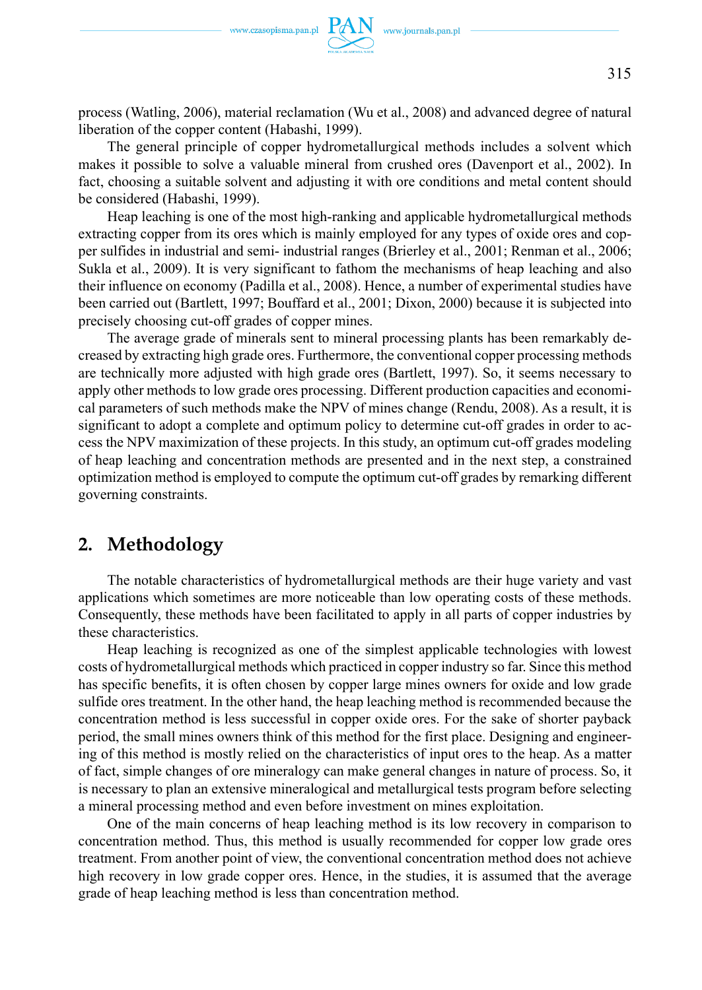

process (Watling, 2006), material reclamation (Wu et al., 2008) and advanced degree of natural liberation of the copper content (Habashi, 1999).

The general principle of copper hydrometallurgical methods includes a solvent which makes it possible to solve a valuable mineral from crushed ores (Davenport et al., 2002). In fact, choosing a suitable solvent and adjusting it with ore conditions and metal content should be considered (Habashi, 1999).

Heap leaching is one of the most high-ranking and applicable hydrometallurgical methods extracting copper from its ores which is mainly employed for any types of oxide ores and copper sulfides in industrial and semi- industrial ranges (Brierley et al., 2001; Renman et al., 2006; Sukla et al., 2009). It is very significant to fathom the mechanisms of heap leaching and also their influence on economy (Padilla et al., 2008). Hence, a number of experimental studies have been carried out (Bartlett, 1997; Bouffard et al., 2001; Dixon, 2000) because it is subjected into precisely choosing cut-off grades of copper mines.

The average grade of minerals sent to mineral processing plants has been remarkably decreased by extracting high grade ores. Furthermore, the conventional copper processing methods are technically more adjusted with high grade ores (Bartlett, 1997). So, it seems necessary to apply other methods to low grade ores processing. Different production capacities and economical parameters of such methods make the NPV of mines change (Rendu, 2008). As a result, it is significant to adopt a complete and optimum policy to determine cut-off grades in order to access the NPV maximization of these projects. In this study, an optimum cut-off grades modeling of heap leaching and concentration methods are presented and in the next step, a constrained optimization method is employed to compute the optimum cut-off grades by remarking different governing constraints.

# **2. Methodology**

The notable characteristics of hydrometallurgical methods are their huge variety and vast applications which sometimes are more noticeable than low operating costs of these methods. Consequently, these methods have been facilitated to apply in all parts of copper industries by these characteristics.

Heap leaching is recognized as one of the simplest applicable technologies with lowest costs of hydrometallurgical methods which practiced in copper industry so far. Since this method has specific benefits, it is often chosen by copper large mines owners for oxide and low grade sulfide ores treatment. In the other hand, the heap leaching method is recommended because the concentration method is less successful in copper oxide ores. For the sake of shorter payback period, the small mines owners think of this method for the first place. Designing and engineering of this method is mostly relied on the characteristics of input ores to the heap. As a matter of fact, simple changes of ore mineralogy can make general changes in nature of process. So, it is necessary to plan an extensive mineralogical and metallurgical tests program before selecting a mineral processing method and even before investment on mines exploitation.

One of the main concerns of heap leaching method is its low recovery in comparison to concentration method. Thus, this method is usually recommended for copper low grade ores treatment. From another point of view, the conventional concentration method does not achieve high recovery in low grade copper ores. Hence, in the studies, it is assumed that the average grade of heap leaching method is less than concentration method.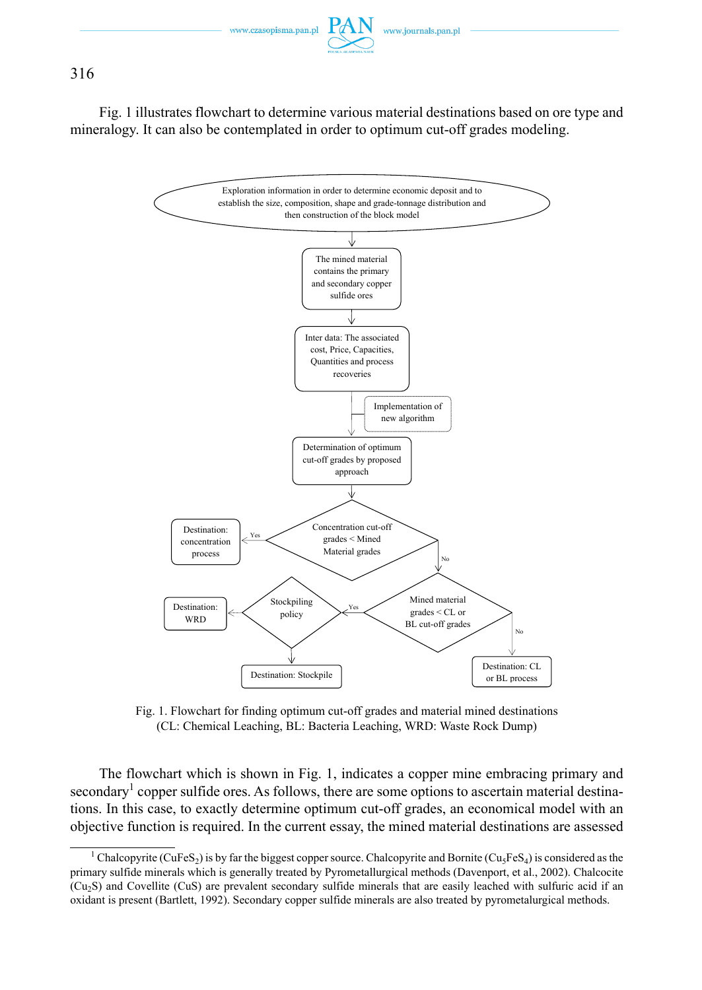Fig. 1 illustrates flowchart to determine various material destinations based on ore type and mineralogy. It can also be contemplated in order to optimum cut-off grades modeling.



Fig. 1. Flowchart for finding optimum cut-off grades and material mined destinations (CL: Chemical Leaching, BL: Bacteria Leaching, WRD: Waste Rock Dump)

The flowchart which is shown in Fig. 1, indicates a copper mine embracing primary and secondary<sup>1</sup> copper sulfide ores. As follows, there are some options to ascertain material destinations. In this case, to exactly determine optimum cut-off grades, an economical model with an objective function is required. In the current essay, the mined material destinations are assessed

<sup>&</sup>lt;sup>1</sup> Chalcopyrite (CuFeS<sub>2</sub>) is by far the biggest copper source. Chalcopyrite and Bornite (Cu<sub>5</sub>FeS<sub>4</sub>) is considered as the primary sulfide minerals which is generally treated by Pyrometallurgical methods (Davenport, et al., 2002). Chalcocite (Cu2S) and Covellite (CuS) are prevalent secondary sulfide minerals that are easily leached with sulfuric acid if an oxidant is present (Bartlett, 1992). Secondary copper sulfide minerals are also treated by pyrometalurgical methods.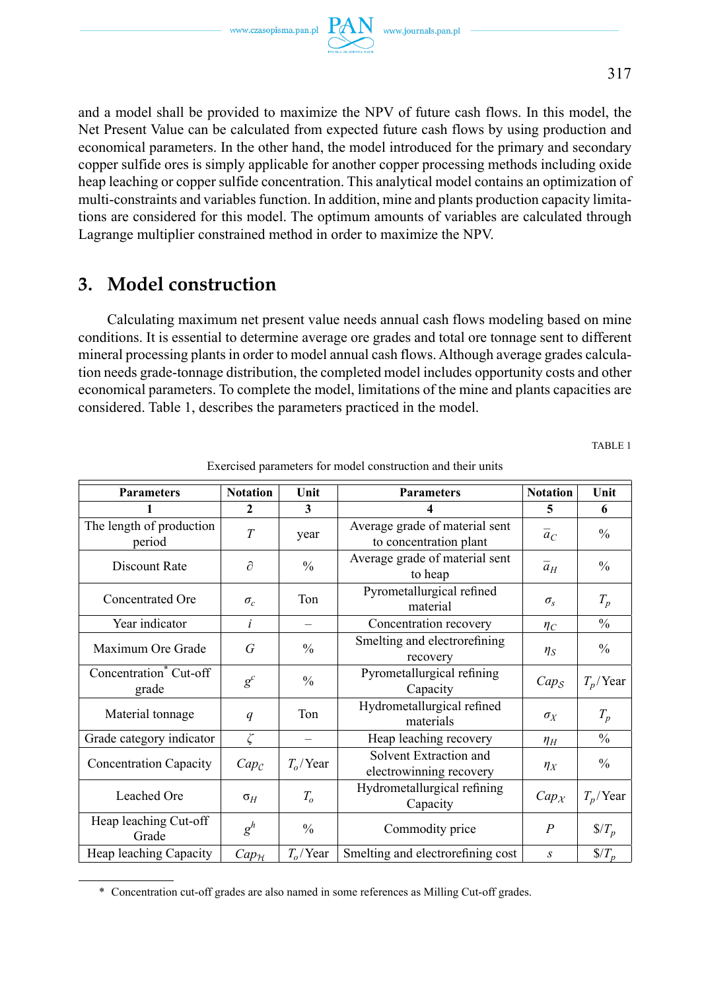and a model shall be provided to maximize the NPV of future cash flows. In this model, the Net Present Value can be calculated from expected future cash flows by using production and economical parameters. In the other hand, the model introduced for the primary and secondary copper sulfide ores is simply applicable for another copper processing methods including oxide heap leaching or copper sulfide concentration. This analytical model contains an optimization of multi-constraints and variables function. In addition, mine and plants production capacity limitations are considered for this model. The optimum amounts of variables are calculated through Lagrange multiplier constrained method in order to maximize the NPV.

# **3. Model construction**

Calculating maximum net present value needs annual cash flows modeling based on mine conditions. It is essential to determine average ore grades and total ore tonnage sent to different mineral processing plants in order to model annual cash flows. Although average grades calculation needs grade-tonnage distribution, the completed model includes opportunity costs and other economical parameters. To complete the model, limitations of the mine and plants capacities are considered. Table 1, describes the parameters practiced in the model.

TABLE 1

| <b>Parameters</b>                           | <b>Notation</b>     | Unit                     | <b>Parameters</b>                                        | <b>Notation</b>     | Unit                 |
|---------------------------------------------|---------------------|--------------------------|----------------------------------------------------------|---------------------|----------------------|
|                                             | $\mathbf{2}$        | 3                        | 4                                                        | 5                   | 6                    |
| The length of production<br>period          | T                   | year                     | Average grade of material sent<br>to concentration plant | $\overline{a}_C$    | $\frac{0}{0}$        |
| Discount Rate                               | $\partial$          | $\frac{0}{0}$            | Average grade of material sent<br>to heap                | $\overline{a}_H$    | $\frac{0}{0}$        |
| Concentrated Ore                            | $\sigma_c$          | Ton                      | Pyrometallurgical refined<br>material                    | $\sigma_{\rm s}$    | $T_p$                |
| Year indicator                              | i                   | $\overline{\phantom{0}}$ | Concentration recovery                                   | $\eta_C$            | $\frac{0}{0}$        |
| Maximum Ore Grade                           | G                   | $\frac{0}{0}$            | Smelting and electrorefining<br>recovery                 | $\eta_S$            | $\frac{0}{0}$        |
| Concentration <sup>*</sup> Cut-off<br>grade | $g^c$               | $\frac{0}{0}$            | Pyrometallurgical refining<br>Capacity                   | $Cap_{\mathcal{S}}$ | $T_p$ /Year          |
| Material tonnage                            | q                   | Ton                      | Hydrometallurgical refined<br>materials                  | $\sigma_X$          | $T_p$                |
| Grade category indicator                    | ζ                   |                          | Heap leaching recovery                                   | $\eta_H$            | $\frac{0}{0}$        |
| <b>Concentration Capacity</b>               | $Cap_{\mathcal{C}}$ | $T_0$ /Year              | Solvent Extraction and<br>electrowinning recovery        | $\eta_X$            | $\frac{0}{0}$        |
| Leached Ore                                 | $\sigma_H$          | $T_{o}$                  | Hydrometallurgical refining<br>Capacity                  | $Cap_{\mathcal{X}}$ | $T_p$ /Year          |
| Heap leaching Cut-off<br>Grade              | $g^h$               | $\frac{0}{0}$            | Commodity price                                          | $\overline{P}$      | $\sqrt{\frac{F}{p}}$ |
| Heap leaching Capacity                      | $Cap_{\mathcal{H}}$ | $T_o$ /Year              | Smelting and electrorefining cost                        | S                   | $\sqrt{$T_{p}$}$     |

Exercised parameters for model construction and their units

<sup>\*</sup> Concentration cut-off grades are also named in some references as Milling Cut-off grades.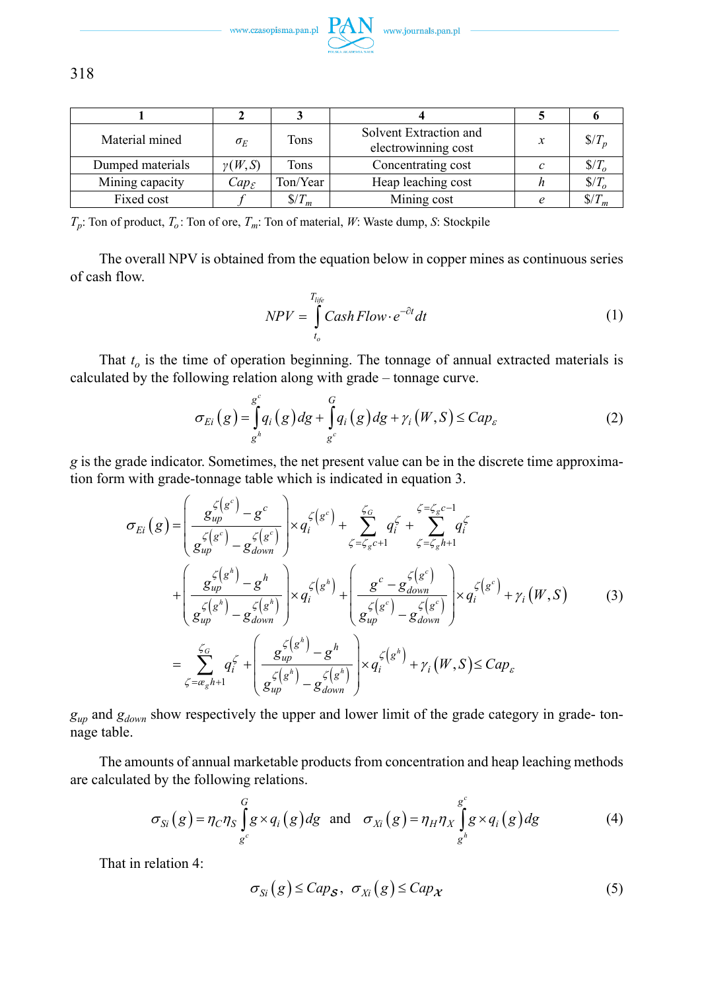

| Material mined   | $\sigma_E$          | Tons            | Solvent Extraction and<br>electrowinning cost | $\sqrt{2}$      |
|------------------|---------------------|-----------------|-----------------------------------------------|-----------------|
| Dumped materials | $\gamma(W, S)$      | Tons            | Concentrating cost                            | $\sqrt{2}$      |
| Mining capacity  | $Cap_{\mathcal{E}}$ | Ton/Year        | Heap leaching cost                            | $\sqrt{L}$      |
| Fixed cost       |                     | $\sqrt[6]{T_m}$ | Mining cost                                   | $\sqrt[6]{T_m}$ |

 $T_p$ : Ton of product,  $T_o$ : Ton of ore,  $T_m$ : Ton of material, *W*: Waste dump, *S*: Stockpile

The overall NPV is obtained from the equation below in copper mines as continuous series of cash flow.

$$
NPV = \int_{t_o}^{T_{life}} Cash \, Flow \cdot e^{-\partial t} \, dt \tag{1}
$$

That  $t<sub>o</sub>$  is the time of operation beginning. The tonnage of annual extracted materials is calculated by the following relation along with grade – tonnage curve.

$$
\sigma_{E_i}(g) = \int_{g_i^h}^{g_i} q_i(g) dg + \int_{g_i^c}^{G} q_i(g) dg + \gamma_i(W, S) \leq Cap_{\varepsilon}
$$
 (2)

*g* is the grade indicator. Sometimes, the net present value can be in the discrete time approximation form with grade-tonnage table which is indicated in equation 3.

$$
\sigma_{Ei}(g) = \left(\frac{g_{up}^{\zeta(g^{c})} - g^{c}}{g_{up}^{\zeta(g^{c})} - g_{down}^{\zeta(g^{c})}}\right) \times q_{i}^{\zeta(g^{c})} + \sum_{\zeta = \zeta_{g}c+1}^{\zeta_{G}} q_{i}^{\zeta} + \sum_{\zeta = \zeta_{g}h+1}^{\zeta = \zeta_{g}c-1} q_{i}^{\zeta}
$$
\n
$$
+ \left(\frac{g_{up}^{\zeta(g^{h})} - g^{h}}{g_{up}^{\zeta(g^{h})} - g_{down}^{\zeta(g^{h})}}\right) \times q_{i}^{\zeta(g^{h})} + \left(\frac{g^{c} - g_{down}^{\zeta(g^{c})}}{g_{up}^{\zeta(g^{c})} - g_{down}^{\zeta(g^{c})}}\right) \times q_{i}^{\zeta(g^{c})} + \gamma_{i}(W, S) \tag{3}
$$
\n
$$
= \sum_{\zeta = \alpha_{g}h+1}^{\zeta_{G}} q_{i}^{\zeta} + \left(\frac{g_{up}^{\zeta(g^{h})} - g^{h}}{g_{up}^{\zeta(g^{h})} - g_{down}^{\zeta(g^{h})}}\right) \times q_{i}^{\zeta(g^{h})} + \gamma_{i}(W, S) \le Cap_{\varepsilon}
$$

*gup* and *gdown* show respectively the upper and lower limit of the grade category in grade- tonnage table.

The amounts of annual marketable products from concentration and heap leaching methods are calculated by the following relations.

$$
\sigma_{Si}(g) = \eta_C \eta_S \int_{g^c}^{G} g \times q_i(g) dg \text{ and } \sigma_{Xi}(g) = \eta_H \eta_X \int_{g^h}^{g^c} g \times q_i(g) dg
$$
 (4)

That in relation 4:

$$
\sigma_{Si}(g) \leq Cap_{\mathcal{S}}, \ \sigma_{Xi}(g) \leq Cap_{\mathcal{X}}
$$
 (5)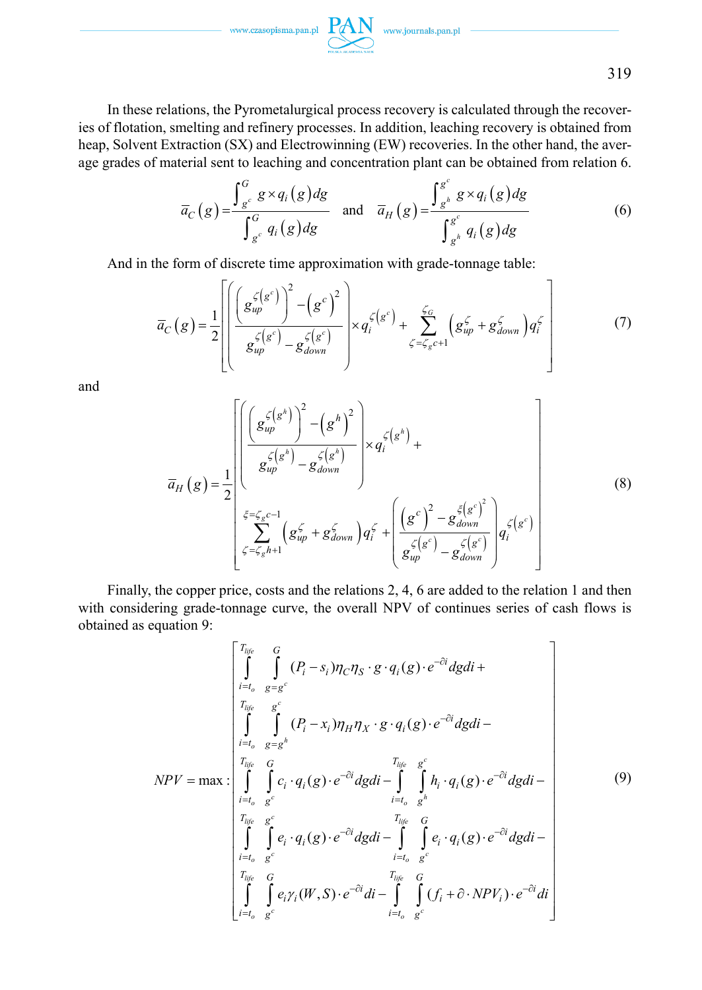In these relations, the Pyrometalurgical process recovery is calculated through the recoveries of flotation, smelting and refinery processes. In addition, leaching recovery is obtained from heap, Solvent Extraction (SX) and Electrowinning (EW) recoveries. In the other hand, the average grades of material sent to leaching and concentration plant can be obtained from relation 6.

$$
\overline{a}_C(g) = \frac{\int_{g^c}^G g \times q_i(g) dg}{\int_{g^c}^G q_i(g) dg} \quad \text{and} \quad \overline{a}_H(g) = \frac{\int_{g^h}^{g^c} g \times q_i(g) dg}{\int_{g^h}^{g^c} q_i(g) dg} \tag{6}
$$

And in the form of discrete time approximation with grade-tonnage table:

$$
\overline{a}_C(g) = \frac{1}{2} \left[ \left( \frac{g_{up}^{\zeta(g^c)}}{g_{up}^{\zeta(g^c)}} - \left(g^c\right)^2 \right) \times q_i^{\zeta(g^c)} + \sum_{\zeta = \zeta_g c+1}^{\zeta_g} \left( g_{up}^{\zeta} + g_{down}^{\zeta} \right) q_i^{\zeta} \right]
$$
(7)

and

$$
\overline{a}_{H}(g) = \frac{1}{2} \begin{bmatrix} \left( \frac{g_{up}^{\zeta(g^{h})}}{g_{up}^{\zeta(g^{h})} - g_{down}^{\zeta(g^{h})}} \right) \times q_{i}^{\zeta(g^{h})} + \\ \frac{g_{up}^{\zeta(g^{h})} - g_{down}^{\zeta(g^{h})}}{g_{up}^{\zeta(g^{h})} - g_{down}^{\zeta(g^{h})}} \end{bmatrix} \times q_{i}^{\zeta(g^{h})} + \left( \frac{\left( g^{c} \right)^{2} - g_{down}^{\zeta(g^{c})}}{g_{up}^{\zeta(g^{c})} - g_{down}^{\zeta(g^{c})}} \right) q_{i}^{\zeta(g^{c})} \end{bmatrix}
$$
\n(8)

Finally, the copper price, costs and the relations 2, 4, 6 are added to the relation 1 and then with considering grade-tonnage curve, the overall NPV of continues series of cash flows is obtained as equation 9:

$$
NPV = \max \left\{\begin{bmatrix} T_{life} & G \\ \int_{i=t_o}^{t} & g - g^c \\ \int_{i=t_o}^{t} & g - g^c \end{bmatrix} (P_i - x_i) \eta_f \eta_X \cdot g \cdot q_i(g) \cdot e^{-\partial i} dg di + \int_{i=t_o}^{t} & \int_{g - g}^{t} (P_i - x_i) \eta_H \eta_X \cdot g \cdot q_i(g) \cdot e^{-\partial i} dg di - \int_{i=t_o}^{t} & \int_{g + g}^{t} h_i \cdot q_i(g) \cdot e^{-\partial i} dg di - \int_{i=t_o}^{t} & \int_{g + g}^{t} h_i \cdot q_i(g) \cdot e^{-\partial i} dg di - \int_{i=t_o}^{t} & \int_{g - g}^{t} h_i \cdot q_i(g) \cdot e^{-\partial i} dg di - \int_{i=t_o}^{t} & \int_{g - g}^{t} e_i \cdot q_i(g) \cdot e^{-\partial i} dg di - \int_{i=t_o}^{t} & \int_{g - g}^{t} e_i \cdot q_i(g) \cdot e^{-\partial i} dg di - \int_{i=t_o}^{t} & \int_{g - g}^{t} e_i \gamma_i(W, S) \cdot e^{-\partial i} di - \int_{i=t_o}^{t} & \int_{g - g}^{t} (f_i + \partial \cdot NPV_i) \cdot e^{-\partial i} di \end{bmatrix}\right\}
$$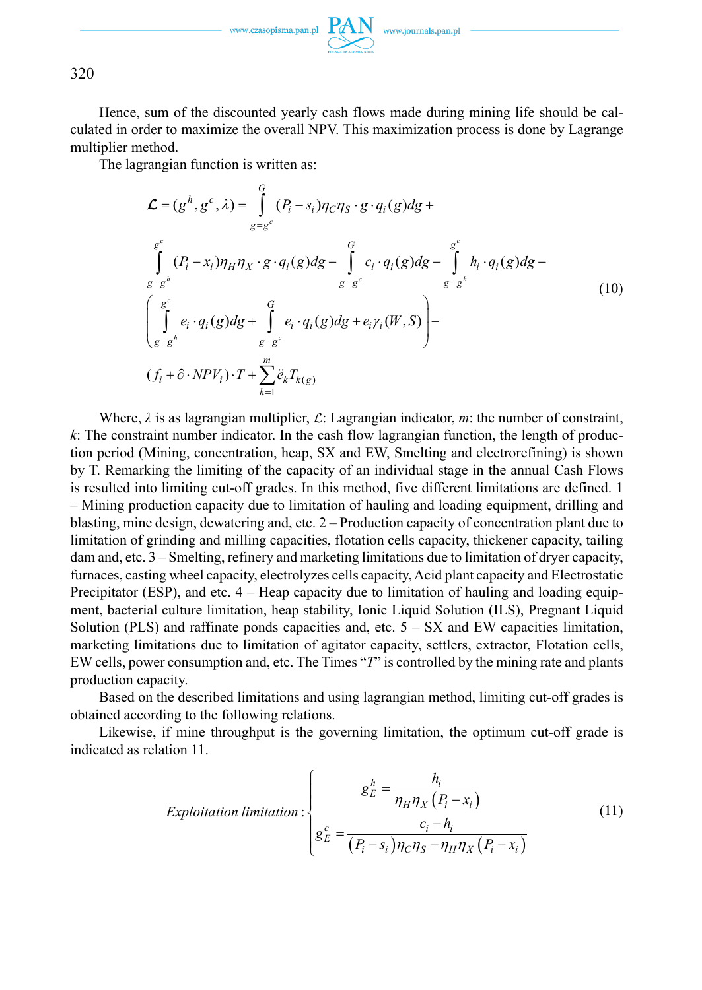320

Hence, sum of the discounted yearly cash flows made during mining life should be calculated in order to maximize the overall NPV. This maximization process is done by Lagrange multiplier method.

The lagrangian function is written as:

$$
\mathcal{L} = (g^h, g^c, \lambda) = \int_{g=g^c}^G (P_i - s_i) \eta_C \eta_S \cdot g \cdot q_i(g) dg +
$$
  
\n
$$
\int_{g=g^h}^{g^c} (P_i - x_i) \eta_H \eta_X \cdot g \cdot q_i(g) dg - \int_{g=g^c}^G c_i \cdot q_i(g) dg - \int_{g=g^h}^{g^c} h_i \cdot q_i(g) dg -
$$
  
\n
$$
\left( \int_{g=g^h}^{g^c} e_i \cdot q_i(g) dg + \int_{g=g^c}^G e_i \cdot q_i(g) dg + e_i \gamma_i(W, S) \right) -
$$
  
\n
$$
(f_i + \partial \cdot NPV_i) \cdot T + \sum_{k=1}^m \ddot{e}_k T_{k(g)}
$$
\n(10)

Where,  $\lambda$  is as lagrangian multiplier,  $\mathcal{L}$ : Lagrangian indicator, *m*: the number of constraint, *k*: The constraint number indicator. In the cash flow lagrangian function, the length of production period (Mining, concentration, heap, SX and EW, Smelting and electrorefining) is shown by T. Remarking the limiting of the capacity of an individual stage in the annual Cash Flows is resulted into limiting cut-off grades. In this method, five different limitations are defined. 1 – Mining production capacity due to limitation of hauling and loading equipment, drilling and blasting, mine design, dewatering and, etc. 2 – Production capacity of concentration plant due to limitation of grinding and milling capacities, flotation cells capacity, thickener capacity, tailing dam and, etc. 3 – Smelting, refinery and marketing limitations due to limitation of dryer capacity, furnaces, casting wheel capacity, electrolyzes cells capacity, Acid plant capacity and Electrostatic Precipitator (ESP), and etc.  $4 -$  Heap capacity due to limitation of hauling and loading equipment, bacterial culture limitation, heap stability, Ionic Liquid Solution (ILS), Pregnant Liquid Solution (PLS) and raffinate ponds capacities and, etc.  $5 - SX$  and EW capacities limitation, marketing limitations due to limitation of agitator capacity, settlers, extractor, Flotation cells, EW cells, power consumption and, etc. The Times "*T*" is controlled by the mining rate and plants production capacity.

Based on the described limitations and using lagrangian method, limiting cut-off grades is obtained according to the following relations.

Likewise, if mine throughput is the governing limitation, the optimum cut-off grade is indicated as relation 11.

$$
Exploitation\ limitation: \begin{cases} g_E^h = \frac{h_i}{\eta_H \eta_X (P_i - x_i)} \\ g_E^c = \frac{c_i - h_i}{(P_i - s_i)\eta_C \eta_S - \eta_H \eta_X (P_i - x_i)} \end{cases} \tag{11}
$$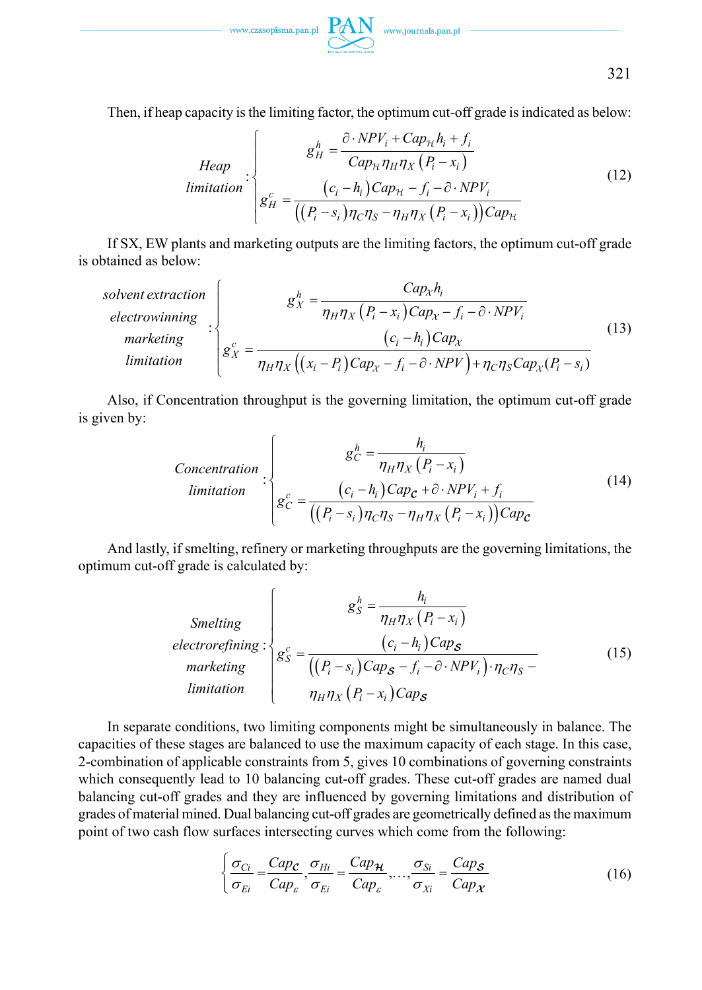$\text{www.czasopisma.pan.pl}\ \ \underbrace{\text{PAN}}_{\text{www.journals.pan.pl}}$ 

321

Then, if heap capacity is the limiting factor, the optimum cut-off grade is indicated as below:

$$
Heap : \begin{cases} g_H^h = \frac{\partial \cdot NPV_i + Cap_{\mathcal{H}} h_i + f_i}{Cap_{\mathcal{H}} \eta_H \eta_X (P_i - x_i)} \\ g_H^c = \frac{(c_i - h_i) Cap_{\mathcal{H}} - f_i - \partial \cdot NPV_i}{((P_i - s_i)\eta_C \eta_S - \eta_H \eta_X (P_i - x_i)) Cap_{\mathcal{H}}} \end{cases}
$$
(12)

If SX, EW plants and marketing outputs are the limiting factors, the optimum cut-off grade is obtained as below:

\n
$$
\text{solvent extraction}
$$
\n

\n\n $\text{electrowinning}$ \n

\n\n $\text{valivity}$ \n

\n\n $\text{varketing}$ \n

\n\n $\text{varketing}$ \n

\n\n $\text{varketing}$ \n

\n\n $\text{varketing}$ \n

\n\n $\text{varketing}$ \n

\n\n $\text{varkting}$ \n

\n\n $\text{varkting}$ \n

\n\n $\text{varkting}$ \n

\n\n $\text{varkting}$ \n

\n\n $\text{varkting}$ \n

\n\n $\text{varkting}$ \n

\n\n $\text{varkting}$ \n

\n\n $\text{varkting}$ \n

\n\n $\text{varkting}$ \n

\n\n $\text{varkting}$ \n

\n\n $\text{varkting}$ \n

\n\n $\text{varkting}$ \n

\n\n $\text{varkting}$ \n

\n\n $\text{varkting}$ \n

\n\n $\text{varkting}$ \n

\n\n $\text{varkting}$ \n

\n\n $\text{varkting}$ \n

\n\n $\text{varkting}$ \n

\n\n $\text{varkting}$ \n

\n\n $\text{varkting}$ \n

\n\n $\text{varkting}$ \n

\n\n $\text{varkting}$ \n

\n\n $\text{varkting}$ \n

\n\n $\text{varkting}$ \n

\n\n $\text{varkting}$ \n

\n\n $\text{varkting}$ \n

\n\n $\text{varkting}$ \n

\n\n $\text{varkting}$ \n

\n\n $\text{varkting}$ \n

\n\n $\text{varkting}$ \n

\n\n $\text{varkting}$ \n

\n\n $\text{varkting}$ \n

\n\n $\$ 

Also, if Concentration throughput is the governing limitation, the optimum cut-off grade is given by:

$$
\text{Concentration} \left\{\n\begin{aligned}\ng_C^h &= \frac{h_i}{\eta_H \eta_X \left(P_i - x_i\right)} \\
\text{limitation} \\
g_C^c &= \frac{\left(c_i - h_i\right) \text{Cap}_c + \hat{\sigma} \cdot \text{NP} V_i + f_i}{\left(\left(P_i - s_i\right) \eta_C \eta_S - \eta_H \eta_X \left(P_i - x_i\right)\right) \text{Cap}_c}\n\end{aligned}\n\right.\n\tag{14}
$$

And lastly, if smelting, refinery or marketing throughputs are the governing limitations, the optimum cut-off grade is calculated by:

$$
\text{Smelting} \text{electrorefining:} \begin{cases} g_S^h = \frac{h_i}{\eta_H \eta_X (P_i - x_i)} \\ g_S^c = \frac{(c_i - h_i) \text{Cap}_S}{\left( \left( P_i - s_i \right) \text{Cap}_S - f_i - \partial \cdot \text{NP} V_i \right) \cdot \eta_C \eta_S - \eta_S} \\ \text{limitation} \qquad \eta_H \eta_X (P_i - x_i) \text{Cap}_S \end{cases} \tag{15}
$$

In separate conditions, two limiting components might be simultaneously in balance. The capacities of these stages are balanced to use the maximum capacity of each stage. In this case, 2-combination of applicable constraints from 5, gives 10 combinations of governing constraints which consequently lead to 10 balancing cut-off grades. These cut-off grades are named dual balancing cut-off grades and they are influenced by governing limitations and distribution of grades of material mined. Dual balancing cut-off grades are geometrically defined as the maximum point of two cash flow surfaces intersecting curves which come from the following:

$$
\left\{\frac{\sigma_{Ci}}{\sigma_{Ei}} = \frac{Cap_{\mathcal{C}}}{Cap_{\mathcal{E}}}, \frac{\sigma_{Hi}}{\sigma_{Ei}} = \frac{Cap_{\mathcal{H}}}{Cap_{\mathcal{E}}}, \dots, \frac{\sigma_{Si}}{\sigma_{Xi}} = \frac{Cap_{\mathcal{S}}}{Cap_{\mathcal{X}}}
$$
(16)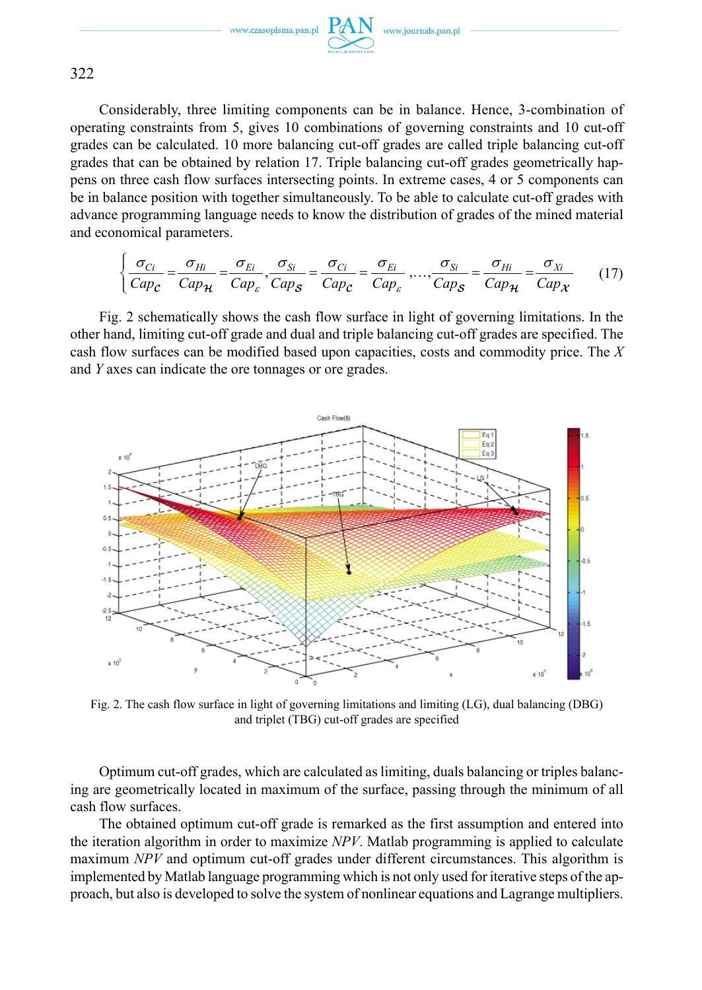

322

Considerably, three limiting components can be in balance. Hence, 3-combination of operating constraints from 5, gives 10 combinations of governing constraints and 10 cut-off grades can be calculated. 10 more balancing cut-off grades are called triple balancing cut-off grades that can be obtained by relation 17. Triple balancing cut-off grades geometrically happens on three cash flow surfaces intersecting points. In extreme cases, 4 or 5 components can be in balance position with together simultaneously. To be able to calculate cut-off grades with advance programming language needs to know the distribution of grades of the mined material and economical parameters.

$$
\begin{cases}\n\frac{\sigma_{Ci}}{Cap_{\mathcal{C}}} = \frac{\sigma_{Hi}}{Cap_{\mathcal{H}}} = \frac{\sigma_{Ei}}{Cap_{\mathcal{E}}}, \frac{\sigma_{Si}}{Cap_{\mathcal{S}}} = \frac{\sigma_{Ci}}{Cap_{\mathcal{C}}} = \frac{\sigma_{Ei}}{Cap_{\mathcal{C}}}, \dots, \frac{\sigma_{Si}}{Cap_{\mathcal{S}}} = \frac{\sigma_{Hi}}{Cap_{\mathcal{H}}} = \frac{\sigma_{Xi}}{Cap_{\mathcal{H}}}
$$
\n(17)

Fig. 2 schematically shows the cash flow surface in light of governing limitations. In the other hand, limiting cut-off grade and dual and triple balancing cut-off grades are specified. The cash flow surfaces can be modified based upon capacities, costs and commodity price. The *X* and *Y* axes can indicate the ore tonnages or ore grades.



Fig. 2. The cash flow surface in light of governing limitations and limiting (LG), dual balancing (DBG) and triplet (TBG) cut-off grades are specified

Optimum cut-off grades, which are calculated as limiting, duals balancing or triples balancing are geometrically located in maximum of the surface, passing through the minimum of all cash flow surfaces.

The obtained optimum cut-off grade is remarked as the first assumption and entered into the iteration algorithm in order to maximize *NPV*. Matlab programming is applied to calculate maximum *NPV* and optimum cut-off grades under different circumstances. This algorithm is implemented by Matlab language programming which is not only used for iterative steps of the approach, but also is developed to solve the system of nonlinear equations and Lagrange multipliers.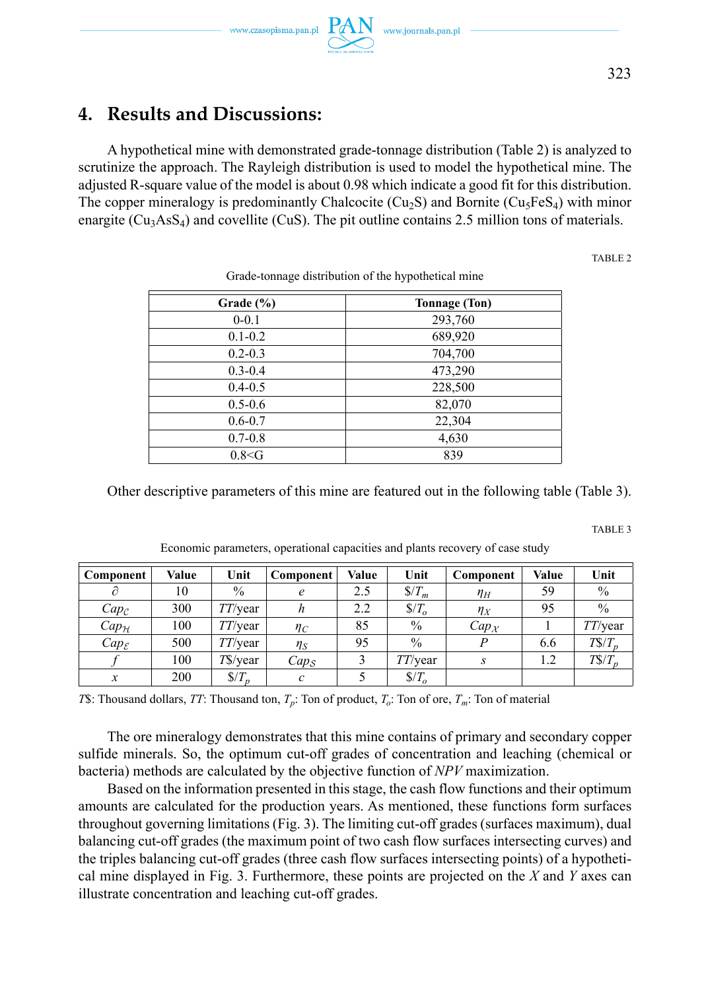# **4. Results and Discussions:**

A hypothetical mine with demonstrated grade-tonnage distribution (Table 2) is analyzed to scrutinize the approach. The Rayleigh distribution is used to model the hypothetical mine. The adjusted R-square value of the model is about 0.98 which indicate a good fit for this distribution. The copper mineralogy is predominantly Chalcocite (Cu<sub>2</sub>S) and Bornite (Cu<sub>3</sub>FeS<sub>4</sub>) with minor enargite  $(Cu_3AsS_4)$  and covellite (CuS). The pit outline contains 2.5 million tons of materials.

TABLE 2

TABLE 3

| Grade $(\% )$ | <b>Tonnage (Ton)</b> |
|---------------|----------------------|
| $0 - 0.1$     | 293,760              |
| $0.1 - 0.2$   | 689,920              |
| $0.2 - 0.3$   | 704,700              |
| $0.3 - 0.4$   | 473,290              |
| $0.4 - 0.5$   | 228,500              |
| $0.5 - 0.6$   | 82,070               |
| $0.6 - 0.7$   | 22,304               |
| $0.7 - 0.8$   | 4,630                |
| 0.8 < G       | 839                  |

Grade-tonnage distribution of the hypothetical mine

Other descriptive parameters of this mine are featured out in the following table (Table 3).

| Component           | Value | Unit               | <b>Component</b>    | Value | Unit             | Component           | Value | Unit          |
|---------------------|-------|--------------------|---------------------|-------|------------------|---------------------|-------|---------------|
|                     | 10    | $\%$               | e                   | 2.5   | $\frac{S}{T_m}$  | $\eta_H$            | 59    | $\%$          |
| $Cap_{\mathcal{C}}$ | 300   | $TT/\text{year}$   | n                   | 2.2   | $\sqrt{$T_{o}$}$ | $\eta_X$            | 95    | $\frac{0}{0}$ |
| $Cap_{\mathcal{H}}$ | 100   | $TT/\text{year}$   | $\eta_C$            | 85    | $\%$             | $Cap_{\mathcal{X}}$ |       | TT/year       |
| $Cap_{\mathcal{E}}$ | 500   | $TT/\text{year}$   | $\eta_S$            | 95    | $\frac{0}{0}$    |                     | 6.6   | $TS/T_p$      |
|                     | 100   | $T\$ /year         | $Cap_{\mathcal{S}}$ |       | $TT/\text{year}$ | $\mathcal{S}$       | 1.2   | $TS/T_p$      |
| х                   | 200   | $\sqrt{s}$ / $T_p$ | с                   |       | $\sqrt{$T_{o}$}$ |                     |       |               |

Economic parameters, operational capacities and plants recovery of case study

*T*\$: Thousand dollars, *TT*: Thousand ton, *Tp*: Ton of product, *To*: Ton of ore, *Tm*: Ton of material

The ore mineralogy demonstrates that this mine contains of primary and secondary copper sulfide minerals. So, the optimum cut-off grades of concentration and leaching (chemical or bacteria) methods are calculated by the objective function of *NPV* maximization.

Based on the information presented in this stage, the cash flow functions and their optimum amounts are calculated for the production years. As mentioned, these functions form surfaces throughout governing limitations (Fig. 3). The limiting cut-off grades (surfaces maximum), dual balancing cut-off grades (the maximum point of two cash flow surfaces intersecting curves) and the triples balancing cut-off grades (three cash flow surfaces intersecting points) of a hypothetical mine displayed in Fig. 3. Furthermore, these points are projected on the *X* and *Y* axes can illustrate concentration and leaching cut-off grades.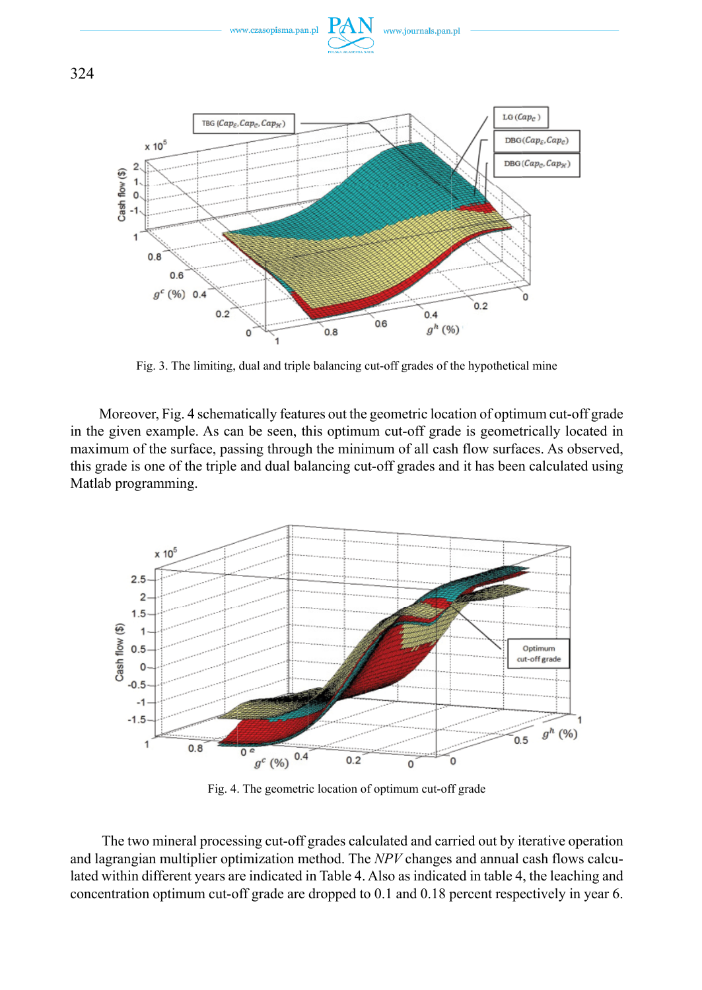

Fig. 3. The limiting, dual and triple balancing cut-off grades of the hypothetical mine

Moreover, Fig. 4 schematically features out the geometric location of optimum cut-off grade in the given example. As can be seen, this optimum cut-off grade is geometrically located in maximum of the surface, passing through the minimum of all cash flow surfaces. As observed, this grade is one of the triple and dual balancing cut-off grades and it has been calculated using Matlab programming.



Fig. 4. The geometric location of optimum cut-off grade

 The two mineral processing cut-off grades calculated and carried out by iterative operation and lagrangian multiplier optimization method. The *NPV* changes and annual cash flows calculated within different years are indicated in Table 4. Also as indicated in table 4, the leaching and concentration optimum cut-off grade are dropped to 0.1 and 0.18 percent respectively in year 6.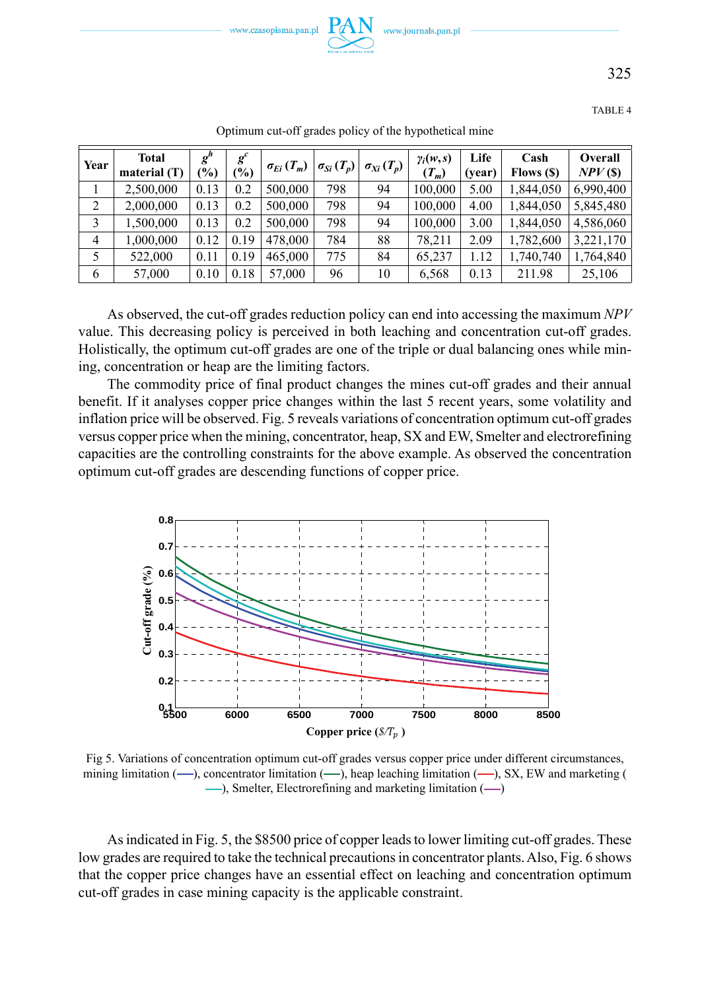

325

TABLE 4

| Year           | Total<br>material (T) | $g^h$<br>$\frac{9}{0}$ | $g^c$<br>$\frac{1}{2}$ | $\sigma_{E_i}(T_m)$ | $\sigma_{Si} (T_p)$ | $\sigma_{Xi}(T_p)$ | $\gamma_i(w,s)$<br>$(T_m)$ | Life<br>(vear) | Cash<br>Flows (\$) | Overall<br>$NPV$ (\$) |
|----------------|-----------------------|------------------------|------------------------|---------------------|---------------------|--------------------|----------------------------|----------------|--------------------|-----------------------|
|                | 2,500,000             | 0.13                   | 0.2                    | 500,000             | 798                 | 94                 | 100,000                    | 5.00           | 1,844,050          | 6.990.400             |
| 2              | 2,000,000             | 0.13                   | 0.2                    | 500,000             | 798                 | 94                 | 100,000                    | 4.00           | 1.844.050          | 5.845.480             |
|                | 1,500,000             | 0.13                   | 0.2                    | 500,000             | 798                 | 94                 | 100,000                    | 3.00           | 1.844.050          | 4,586,060             |
| $\overline{4}$ | 1,000,000             | 0.12                   | 0.19                   | 478,000             | 784                 | 88                 | 78.211                     | 2.09           | 1,782,600          | 3.221.170             |
| 5              | 522,000               | 0.11                   | 0.19                   | 465,000             | 775                 | 84                 | 65,237                     | 1.12           | 1,740,740          | 1,764,840             |
| 6              | 57,000                | 0.10                   | 0.18                   | 57,000              | 96                  | 10                 | 6,568                      | 0.13           | 211.98             | 25,106                |

Optimum cut-off grades policy of the hypothetical mine

As observed, the cut-off grades reduction policy can end into accessing the maximum *NPV* value. This decreasing policy is perceived in both leaching and concentration cut-off grades. Holistically, the optimum cut-off grades are one of the triple or dual balancing ones while mining, concentration or heap are the limiting factors.

The commodity price of final product changes the mines cut-off grades and their annual benefit. If it analyses copper price changes within the last 5 recent years, some volatility and inflation price will be observed. Fig. 5 reveals variations of concentration optimum cut-off grades versus copper price when the mining, concentrator, heap, SX and EW, Smelter and electrorefining capacities are the controlling constraints for the above example. As observed the concentration optimum cut-off grades are descending functions of copper price.



Fig 5. Variations of concentration optimum cut-off grades versus copper price under different circumstances, mining limitation  $($ —), concentrator limitation  $($ —), heap leaching limitation  $($ —), SX, EW and marketing (  $-$ ), Smelter, Electrorefining and marketing limitation  $($ 

As indicated in Fig. 5, the \$8500 price of copper leads to lower limiting cut-off grades. These low grades are required to take the technical precautions in concentrator plants. Also, Fig. 6 shows that the copper price changes have an essential effect on leaching and concentration optimum cut-off grades in case mining capacity is the applicable constraint.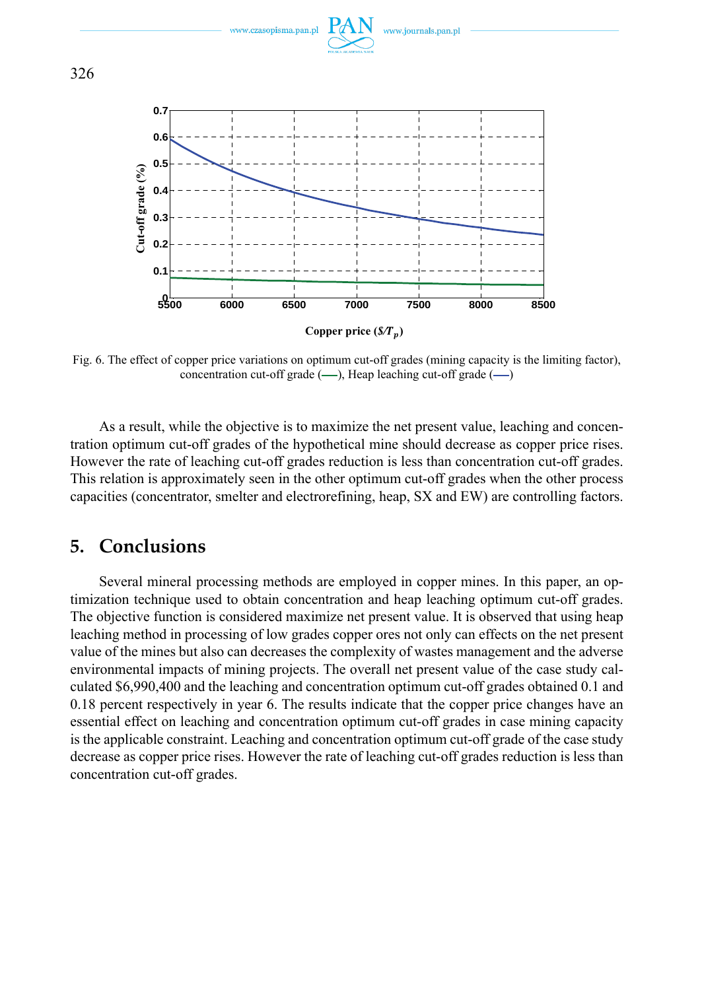

Fig. 6. The effect of copper price variations on optimum cut-off grades (mining capacity is the limiting factor), concentration cut-off grade  $(-)$ , Heap leaching cut-off grade  $(-)$ 

As a result, while the objective is to maximize the net present value, leaching and concentration optimum cut-off grades of the hypothetical mine should decrease as copper price rises. However the rate of leaching cut-off grades reduction is less than concentration cut-off grades. This relation is approximately seen in the other optimum cut-off grades when the other process capacities (concentrator, smelter and electrorefining, heap, SX and EW) are controlling factors.

### **5. Conclusions**

Several mineral processing methods are employed in copper mines. In this paper, an optimization technique used to obtain concentration and heap leaching optimum cut-off grades. The objective function is considered maximize net present value. It is observed that using heap leaching method in processing of low grades copper ores not only can effects on the net present value of the mines but also can decreases the complexity of wastes management and the adverse environmental impacts of mining projects. The overall net present value of the case study calculated \$6,990,400 and the leaching and concentration optimum cut-off grades obtained 0.1 and 0.18 percent respectively in year 6. The results indicate that the copper price changes have an essential effect on leaching and concentration optimum cut-off grades in case mining capacity is the applicable constraint. Leaching and concentration optimum cut-off grade of the case study decrease as copper price rises. However the rate of leaching cut-off grades reduction is less than concentration cut-off grades.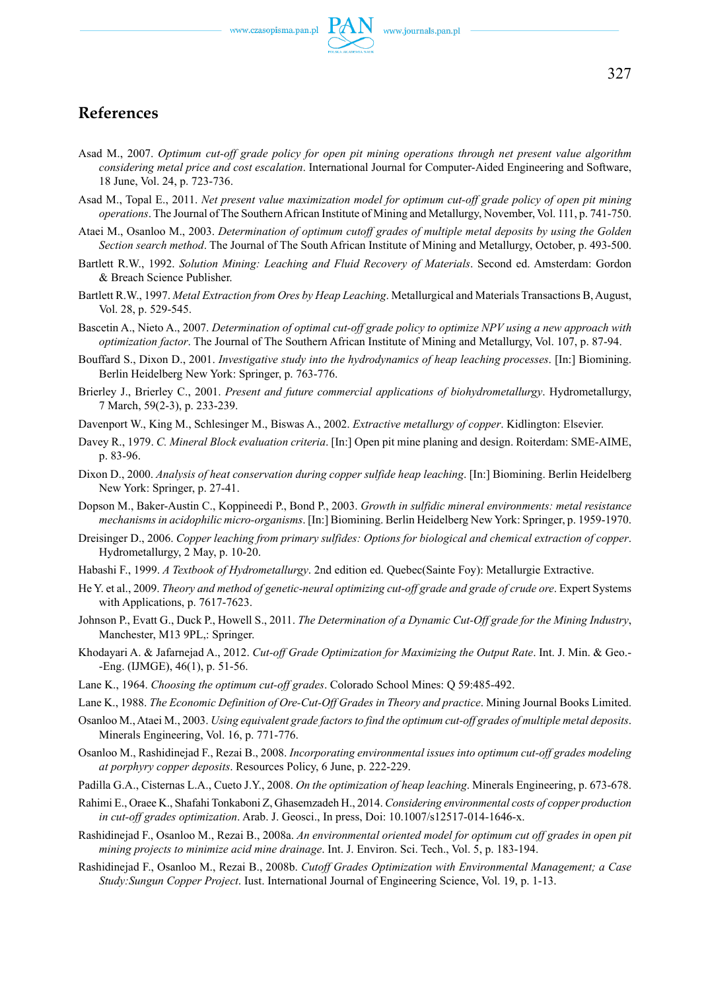

- Asad M., 2007. *Optimum cut-off grade policy for open pit mining operations through net present value algorithm considering metal price and cost escalation*. International Journal for Computer-Aided Engineering and Software, 18 June, Vol. 24, p. 723-736.
- Asad M., Topal E., 2011. *Net present value maximization model for optimum cut-off grade policy of open pit mining operations*. The Journal of The Southern African Institute of Mining and Metallurgy, November, Vol. 111, p. 741-750.
- Ataei M., Osanloo M., 2003. *Determination of optimum cutoff grades of multiple metal deposits by using the Golden Section search method*. The Journal of The South African Institute of Mining and Metallurgy, October, p. 493-500.
- Bartlett R.W., 1992. *Solution Mining: Leaching and Fluid Recovery of Materials*. Second ed. Amsterdam: Gordon & Breach Science Publisher.
- Bartlett R.W., 1997. *Metal Extraction from Ores by Heap Leaching*. Metallurgical and Materials Transactions B, August, Vol. 28, p. 529-545.
- Bascetin A., Nieto A., 2007. *Determination of optimal cut-off grade policy to optimize NPV using a new approach with optimization factor*. The Journal of The Southern African Institute of Mining and Metallurgy, Vol. 107, p. 87-94.
- Bouffard S., Dixon D., 2001. *Investigative study into the hydrodynamics of heap leaching processes*. [In:] Biomining. Berlin Heidelberg New York: Springer, p. 763-776.
- Brierley J., Brierley C., 2001. *Present and future commercial applications of biohydrometallurgy*. Hydrometallurgy, 7 March, 59(2-3), p. 233-239.
- Davenport W., King M., Schlesinger M., Biswas A., 2002. *Extractive metallurgy of copper*. Kidlington: Elsevier.
- Davey R., 1979. *C. Mineral Block evaluation criteria*. [In:] Open pit mine planing and design. Roiterdam: SME-AIME, p. 83-96.
- Dixon D., 2000. *Analysis of heat conservation during copper sulfide heap leaching*. [In:] Biomining. Berlin Heidelberg New York: Springer, p. 27-41.
- Dopson M., Baker-Austin C., Koppineedi P., Bond P., 2003. *Growth in sulfidic mineral environments: metal resistance mechanisms in acidophilic micro-organisms*. [In:] Biomining. Berlin Heidelberg New York: Springer, p. 1959-1970.
- Dreisinger D., 2006. *Copper leaching from primary sulfides: Options for biological and chemical extraction of copper*. Hydrometallurgy, 2 May, p. 10-20.
- Habashi F., 1999. *A Textbook of Hydrometallurgy*. 2nd edition ed. Quebec(Sainte Foy): Metallurgie Extractive.
- He Y. et al., 2009. *Theory and method of genetic-neural optimizing cut-off grade and grade of crude ore*. Expert Systems with Applications, p. 7617-7623.
- Johnson P., Evatt G., Duck P., Howell S., 2011. *The Determination of a Dynamic Cut-Off grade for the Mining Industry*, Manchester, M13 9PL,: Springer.
- Khodayari A. & Jafarnejad A., 2012. *Cut-off Grade Optimization for Maximizing the Output Rate*. Int. J. Min. & Geo.- -Eng. (IJMGE), 46(1), p. 51-56.
- Lane K., 1964. *Choosing the optimum cut-off grades*. Colorado School Mines: Q 59:485-492.
- Lane K., 1988. *The Economic Definition of Ore-Cut-Off Grades in Theory and practice*. Mining Journal Books Limited.
- Osanloo M., Ataei M., 2003. *Using equivalent grade factors to find the optimum cut-off grades of multiple metal deposits*. Minerals Engineering, Vol. 16, p. 771-776.
- Osanloo M., Rashidinejad F., Rezai B., 2008. *Incorporating environmental issues into optimum cut-off grades modeling at porphyry copper deposits*. Resources Policy, 6 June, p. 222-229.
- Padilla G.A., Cisternas L.A., Cueto J.Y., 2008. *On the optimization of heap leaching*. Minerals Engineering, p. 673-678.
- Rahimi E., Oraee K., Shafahi Tonkaboni Z, Ghasemzadeh H., 2014. *Considering environmental costs of copper production in cut-off grades optimization*. Arab. J. Geosci., In press, Doi: 10.1007/s12517-014-1646-x.
- Rashidinejad F., Osanloo M., Rezai B., 2008a. *An environmental oriented model for optimum cut off grades in open pit mining projects to minimize acid mine drainage*. Int. J. Environ. Sci. Tech., Vol. 5, p. 183-194.
- Rashidinejad F., Osanloo M., Rezai B., 2008b. *Cutoff Grades Optimization with Environmental Management; a Case Study:Sungun Copper Project*. Iust. International Journal of Engineering Science, Vol. 19, p. 1-13.